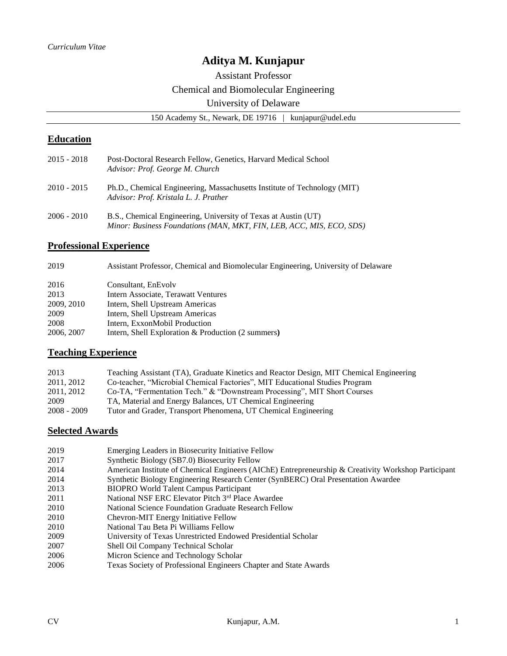# **Aditya M. Kunjapur**

Assistant Professor

Chemical and Biomolecular Engineering

## University of Delaware

150 Academy St., Newark, DE 19716 | kunjapur@udel.edu

## **Education**

| 2015 - 2018 | Post-Doctoral Research Fellow, Genetics, Harvard Medical School<br>Advisor: Prof. George M. Church                                     |
|-------------|----------------------------------------------------------------------------------------------------------------------------------------|
| 2010 - 2015 | Ph.D., Chemical Engineering, Massachusetts Institute of Technology (MIT)<br>Advisor: Prof. Kristala L. J. Prather                      |
| 2006 - 2010 | B.S., Chemical Engineering, University of Texas at Austin (UT)<br>Minor: Business Foundations (MAN, MKT, FIN, LEB, ACC, MIS, ECO, SDS) |

### **Professional Experience**

| 2019 |  | Assistant Professor, Chemical and Biomolecular Engineering, University of Delaware |  |  |
|------|--|------------------------------------------------------------------------------------|--|--|
|------|--|------------------------------------------------------------------------------------|--|--|

| 2016       | Consultant, EnEvolv                                |
|------------|----------------------------------------------------|
| 2013       | Intern Associate, Terawatt Ventures                |
| 2009, 2010 | Intern, Shell Upstream Americas                    |
| 2009       | Intern, Shell Upstream Americas                    |
| 2008       | Intern, ExxonMobil Production                      |
| 2006, 2007 | Intern, Shell Exploration & Production (2 summers) |
|            |                                                    |

## **Teaching Experience**

| 2013        | Teaching Assistant (TA), Graduate Kinetics and Reactor Design, MIT Chemical Engineering |
|-------------|-----------------------------------------------------------------------------------------|
| 2011, 2012  | Co-teacher, "Microbial Chemical Factories", MIT Educational Studies Program             |
| 2011, 2012  | Co-TA, "Fermentation Tech." & "Downstream Processing", MIT Short Courses                |
| 2009        | TA, Material and Energy Balances, UT Chemical Engineering                               |
| 2008 - 2009 | Tutor and Grader, Transport Phenomena, UT Chemical Engineering                          |

## **Selected Awards**

| 2019 | Emerging Leaders in Biosecurity Initiative Fellow                                                   |
|------|-----------------------------------------------------------------------------------------------------|
| 2017 | Synthetic Biology (SB7.0) Biosecurity Fellow                                                        |
| 2014 | American Institute of Chemical Engineers (AIChE) Entrepreneurship & Creativity Workshop Participant |
| 2014 | Synthetic Biology Engineering Research Center (SynBERC) Oral Presentation Awardee                   |
| 2013 | <b>BIOPRO World Talent Campus Participant</b>                                                       |
| 2011 | National NSF ERC Elevator Pitch 3rd Place Awardee                                                   |
| 2010 | National Science Foundation Graduate Research Fellow                                                |
| 2010 | Chevron-MIT Energy Initiative Fellow                                                                |
| 2010 | National Tau Beta Pi Williams Fellow                                                                |
| 2009 | University of Texas Unrestricted Endowed Presidential Scholar                                       |
| 2007 | Shell Oil Company Technical Scholar                                                                 |
| 2006 | Micron Science and Technology Scholar                                                               |
| 2006 | Texas Society of Professional Engineers Chapter and State Awards                                    |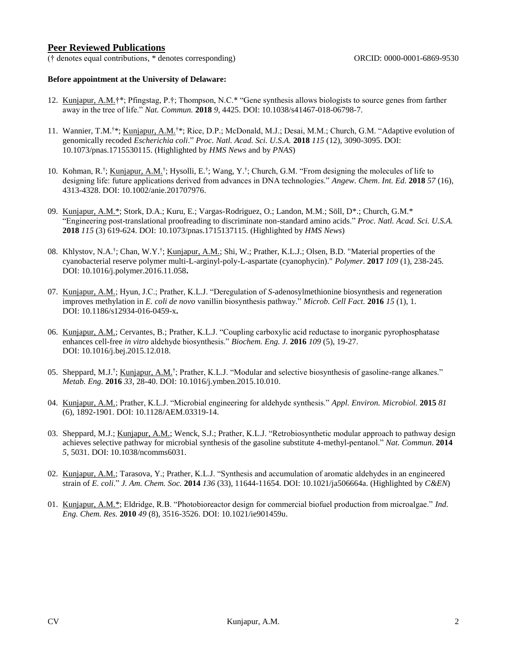### **Peer Reviewed Publications**

(† denotes equal contributions, \* denotes corresponding) ORCID: 0000-0001-6869-9530

#### **Before appointment at the University of Delaware:**

- 12. Kunjapur, A.M.†\*; Pfingstag, P.†; Thompson, N.C.\* "Gene synthesis allows biologists to source genes from farther away in the tree of life." *Nat. Commun.* **2018** *9*, 4425. DOI: 10.1038/s41467-018-06798-7.
- 11. Wannier, T.M.<sup>†\*</sup>; Kunjapur, A.M.<sup>†\*</sup>; Rice, D.P.; McDonald, M.J.; Desai, M.M.; Church, G.M. "Adaptive evolution of genomically recoded *Escherichia coli*." *Proc. Natl. Acad. Sci. U.S.A.* **2018** *115* (12), 3090-3095. DOI: 10.1073/pnas.1715530115. (Highlighted by *HMS News* and by *PNAS*)
- 10. Kohman, R.<sup>†</sup>; Kunjapur, A.M.<sup>†</sup>; Hysolli, E.<sup>†</sup>; Wang, Y.<sup>†</sup>; Church, G.M. "From designing the molecules of life to designing life: future applications derived from advances in DNA technologies." *Angew. Chem*. *Int. Ed.* **2018** *57* (16), 4313-4328. DOI: 10.1002/anie.201707976.
- 09. Kunjapur, A.M.\*; Stork, D.A.; Kuru, E.; Vargas-Rodriguez, O.; Landon, M.M.; Söll, D\*.; Church, G.M.\* "Engineering post-translational proofreading to discriminate non-standard amino acids." *Proc. Natl. Acad. Sci. U.S.A.*  **2018** *115* (3) 619-624. DOI: 10.1073/pnas.1715137115. (Highlighted by *HMS News*)
- 08. Khlystov, N.A.<sup>†</sup>; Chan, W.Y.<sup>†</sup>; Kunjapur, A.M.; Shi, W.; Prather, K.L.J.; Olsen, B.D. "Material properties of the cyanobacterial reserve polymer multi-L-arginyl-poly-L-aspartate (cyanophycin)." *Polymer*. **2017** *109* (1), 238-245. DOI: 10.1016/j.polymer.2016.11.058**.**
- 07. Kunjapur, A.M.; Hyun, J.C.; Prather, K.L.J. "Deregulation of *S*-adenosylmethionine biosynthesis and regeneration improves methylation in *E. coli de novo* vanillin biosynthesis pathway." *Microb. Cell Fact.* **2016** *15* (1), 1. DOI: 10.1186/s12934-016-0459-x**.**
- 06. Kunjapur, A.M.; Cervantes, B.; Prather, K.L.J. "Coupling carboxylic acid reductase to inorganic pyrophosphatase enhances cell-free *in vitro* aldehyde biosynthesis." *Biochem. Eng. J.* **2016** *109* (5), 19-27. DOI: 10.1016/j.bej.2015.12.018.
- 05. Sheppard, M.J.<sup>†</sup>; Kunjapur, A.M.<sup>†</sup>; Prather, K.L.J. "Modular and selective biosynthesis of gasoline-range alkanes." *Metab. Eng.* **2016** *33*, 28-40. DOI: 10.1016/j.ymben.2015.10.010.
- 04. Kunjapur, A.M.; Prather, K.L.J. "Microbial engineering for aldehyde synthesis." *Appl. Environ. Microbiol.* **2015** *81* (6), 1892-1901. DOI: 10.1128/AEM.03319-14.
- 03. Sheppard, M.J.; Kunjapur, A.M.; Wenck, S.J.; Prather, K.L.J. "Retrobiosynthetic modular approach to pathway design achieves selective pathway for microbial synthesis of the gasoline substitute 4-methyl-pentanol." *Nat. Commun*. **2014**  *5*, 5031. DOI: 10.1038/ncomms6031.
- 02. Kunjapur, A.M.; Tarasova, Y.; Prather, K.L.J. "Synthesis and accumulation of aromatic aldehydes in an engineered strain of *E. coli*." *J. Am. Chem. Soc.* **2014** *136* (33), 11644-11654. DOI: 10.1021/ja506664a. (Highlighted by *C&EN*)
- 01. Kunjapur, A.M.\*; Eldridge, R.B. "Photobioreactor design for commercial biofuel production from microalgae." *Ind. Eng. Chem. Res.* **2010** *49* (8), 3516-3526. DOI: 10.1021/ie901459u.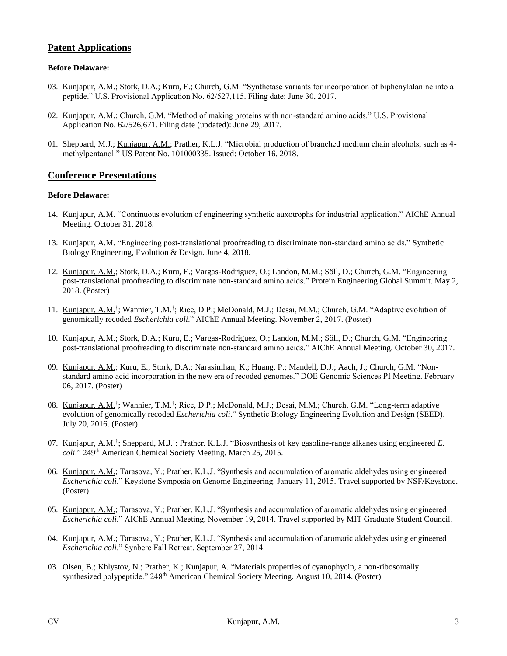### **Patent Applications**

#### **Before Delaware:**

- 03. Kunjapur, A.M.; Stork, D.A.; Kuru, E.; Church, G.M. "Synthetase variants for incorporation of biphenylalanine into a peptide." U.S. Provisional Application No. 62/527,115. Filing date: June 30, 2017.
- 02. Kunjapur, A.M.; Church, G.M. "Method of making proteins with non-standard amino acids." U.S. Provisional Application No. 62/526,671. Filing date (updated): June 29, 2017.
- 01. Sheppard, M.J.; Kunjapur, A.M.; Prather, K.L.J. "Microbial production of branched medium chain alcohols, such as 4 methylpentanol." US Patent No. 101000335. Issued: October 16, 2018.

#### **Conference Presentations**

#### **Before Delaware:**

- 14. Kunjapur, A.M. "Continuous evolution of engineering synthetic auxotrophs for industrial application." AIChE Annual Meeting. October 31, 2018.
- 13. Kunjapur, A.M. "Engineering post-translational proofreading to discriminate non-standard amino acids." Synthetic Biology Engineering, Evolution & Design. June 4, 2018.
- 12. Kunjapur, A.M.; Stork, D.A.; Kuru, E.; Vargas-Rodriguez, O.; Landon, M.M.; Söll, D.; Church, G.M. "Engineering post-translational proofreading to discriminate non-standard amino acids." Protein Engineering Global Summit. May 2, 2018. (Poster)
- 11. Kunjapur, A.M.<sup>†</sup>; Wannier, T.M.<sup>†</sup>; Rice, D.P.; McDonald, M.J.; Desai, M.M.; Church, G.M. "Adaptive evolution of genomically recoded *Escherichia coli*." AIChE Annual Meeting. November 2, 2017. (Poster)
- 10. Kunjapur, A.M.; Stork, D.A.; Kuru, E.; Vargas-Rodriguez, O.; Landon, M.M.; Söll, D.; Church, G.M. "Engineering post-translational proofreading to discriminate non-standard amino acids." AIChE Annual Meeting. October 30, 2017.
- 09. Kunjapur, A.M.; Kuru, E.; Stork, D.A.; Narasimhan, K.; Huang, P.; Mandell, D.J.; Aach, J.; Church, G.M. "Nonstandard amino acid incorporation in the new era of recoded genomes." DOE Genomic Sciences PI Meeting. February 06, 2017. (Poster)
- 08. Kunjapur, A.M.<sup>†</sup>; Wannier, T.M.<sup>†</sup>; Rice, D.P.; McDonald, M.J.; Desai, M.M.; Church, G.M. "Long-term adaptive evolution of genomically recoded *Escherichia coli*." Synthetic Biology Engineering Evolution and Design (SEED). July 20, 2016. (Poster)
- 07. Kunjapur, A.M.<sup>†</sup>; Sheppard, M.J.<sup>†</sup>; Prather, K.L.J. "Biosynthesis of key gasoline-range alkanes using engineered *E*. coli." 249<sup>th</sup> American Chemical Society Meeting. March 25, 2015.
- 06. Kunjapur, A.M.; Tarasova, Y.; Prather, K.L.J. "Synthesis and accumulation of aromatic aldehydes using engineered *Escherichia coli*." Keystone Symposia on Genome Engineering. January 11, 2015. Travel supported by NSF/Keystone. (Poster)
- 05. Kunjapur, A.M.; Tarasova, Y.; Prather, K.L.J. "Synthesis and accumulation of aromatic aldehydes using engineered *Escherichia coli*." AIChE Annual Meeting. November 19, 2014. Travel supported by MIT Graduate Student Council.
- 04. Kunjapur, A.M.; Tarasova, Y.; Prather, K.L.J. "Synthesis and accumulation of aromatic aldehydes using engineered *Escherichia coli*." Synberc Fall Retreat. September 27, 2014.
- 03. Olsen, B.; Khlystov, N.; Prather, K.; Kunjapur, A. "Materials properties of cyanophycin, a non-ribosomally synthesized polypeptide." 248<sup>th</sup> American Chemical Society Meeting. August 10, 2014. (Poster)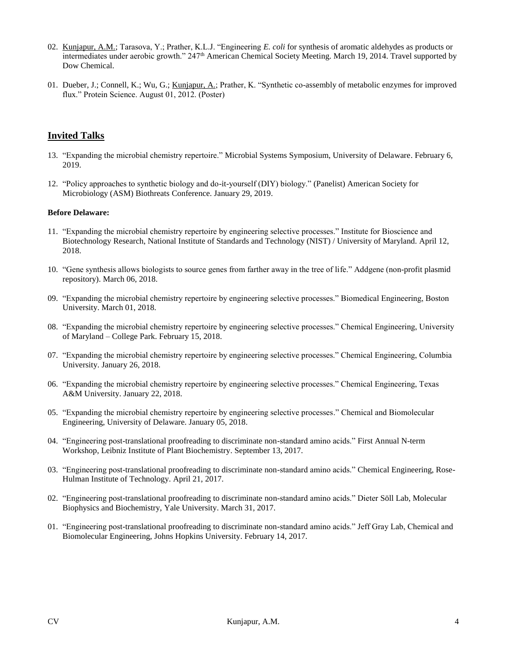- 02. Kunjapur, A.M.; Tarasova, Y.; Prather, K.L.J. "Engineering *E. coli* for synthesis of aromatic aldehydes as products or intermediates under aerobic growth." 247th American Chemical Society Meeting. March 19, 2014. Travel supported by Dow Chemical.
- 01. Dueber, J.; Connell, K.; Wu, G.; Kunjapur, A.; Prather, K. "Synthetic co-assembly of metabolic enzymes for improved flux." Protein Science. August 01, 2012. (Poster)

## **Invited Talks**

- 13. "Expanding the microbial chemistry repertoire." Microbial Systems Symposium, University of Delaware. February 6, 2019.
- 12. "Policy approaches to synthetic biology and do-it-yourself (DIY) biology." (Panelist) American Society for Microbiology (ASM) Biothreats Conference. January 29, 2019.

#### **Before Delaware:**

- 11. "Expanding the microbial chemistry repertoire by engineering selective processes." Institute for Bioscience and Biotechnology Research, National Institute of Standards and Technology (NIST) / University of Maryland. April 12, 2018.
- 10. "Gene synthesis allows biologists to source genes from farther away in the tree of life." Addgene (non-profit plasmid repository). March 06, 2018.
- 09. "Expanding the microbial chemistry repertoire by engineering selective processes." Biomedical Engineering, Boston University. March 01, 2018.
- 08. "Expanding the microbial chemistry repertoire by engineering selective processes." Chemical Engineering, University of Maryland – College Park. February 15, 2018.
- 07. "Expanding the microbial chemistry repertoire by engineering selective processes." Chemical Engineering, Columbia University. January 26, 2018.
- 06. "Expanding the microbial chemistry repertoire by engineering selective processes." Chemical Engineering, Texas A&M University. January 22, 2018.
- 05. "Expanding the microbial chemistry repertoire by engineering selective processes." Chemical and Biomolecular Engineering, University of Delaware. January 05, 2018.
- 04. "Engineering post-translational proofreading to discriminate non-standard amino acids." First Annual N-term Workshop, Leibniz Institute of Plant Biochemistry. September 13, 2017.
- 03. "Engineering post-translational proofreading to discriminate non-standard amino acids." Chemical Engineering, Rose-Hulman Institute of Technology. April 21, 2017.
- 02. "Engineering post-translational proofreading to discriminate non-standard amino acids." Dieter Söll Lab, Molecular Biophysics and Biochemistry, Yale University. March 31, 2017.
- 01. "Engineering post-translational proofreading to discriminate non-standard amino acids." Jeff Gray Lab, Chemical and Biomolecular Engineering, Johns Hopkins University. February 14, 2017.